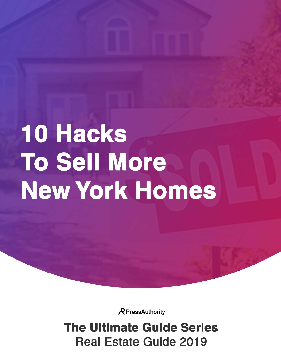# **10 Hacks To Sell More** New York Homes

R PressAuthority

**The Ultimate Guide Series Real Estate Guide 2019**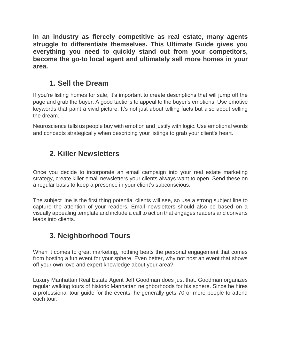**In an industry as fiercely competitive as real estate, many agents struggle to differentiate themselves. This** *Ultimate Guide* **gives you everything you need to quickly stand out from your competitors, become the go-to local agent and ultimately sell more homes in your area.**

#### **1. Sell the Dream**

If you're listing homes for sale, it's important to create descriptions that will jump off the page and grab the buyer. A good tactic is to appeal to the buyer's emotions. Use emotive keywords that paint a vivid picture. It's not just about telling facts but also about selling the dream.

Neuroscience tells us people buy with emotion and justify with logic. Use emotional words and concepts strategically when describing your listings to grab your client's heart.

#### **2. Killer Newsletters**

Once you decide to incorporate an email campaign into your real estate marketing strategy, create killer email newsletters your clients always want to open. Send these on a regular basis to keep a presence in your client's subconscious.

The subject line is the first thing potential clients will see, so use a strong subject line to capture the attention of your readers. Email newsletters should also be based on a visually appealing template and include a call to action that engages readers and converts leads into clients.

# **3. Neighborhood Tours**

When it comes to great marketing, nothing beats the personal engagement that comes from hosting a fun event for your sphere. Even better, why not host an event that shows off your own love and expert knowledge about your area?

Luxury Manhattan Real Estate Agent *Jeff Goodman* does just that. Goodman organizes regular walking tours of historic Manhattan neighborhoods for his sphere. Since he hires a professional tour guide for the events, he generally gets 70 or more people to attend each tour.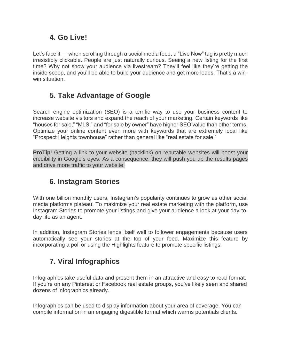#### **4. Go Live!**

Let's face it — when scrolling through a social media feed, a "Live Now" tag is pretty much irresistibly clickable. People are just naturally curious. Seeing a new listing for the first time? Why not show your audience via livestream? They'll feel like they're getting the inside scoop, and you'll be able to build your audience and get more leads. That's a winwin situation.

# **5. Take Advantage of Google**

Search engine optimization (SEO) is a terrific way to use your business content to increase website visitors and expand the reach of your marketing. Certain keywords like "houses for sale," "MLS," and "for sale by owner" have higher SEO value than other terms. Optimize your online content even more with keywords that are extremely local like "Prospect Heights townhouse" rather than general like "real estate for sale."

**ProTip**! Getting a link to your website (backlink) on reputable websites will boost your credibility in Google's eyes. As a consequence, they will push you up the results pages and drive more traffic to your website.

# **6. Instagram Stories**

With one billion monthly users, Instagram's popularity continues to grow as other social media platforms plateau. To maximize your real estate marketing with the platform, use Instagram Stories to promote your listings and give your audience a look at your day-today life as an agent.

In addition, Instagram Stories lends itself well to follower engagements because users automatically see your stories at the top of your feed. Maximize this feature by incorporating a poll or using the Highlights feature to promote specific listings.

# **7. Viral Infographics**

Infographics take useful data and present them in an attractive and easy to read format. If you're on any Pinterest or Facebook real estate groups, you've likely seen and shared dozens of infographics already.

Infographics can be used to display information about your area of coverage. You can compile information in an engaging digestible format which warms potentials clients.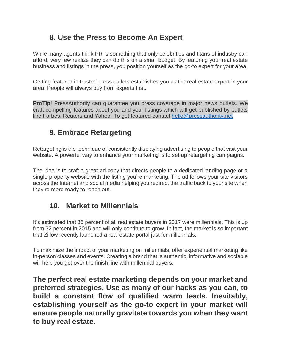#### **8. Use the Press to Become An Expert**

While many agents think PR is something that only celebrities and titans of industry can afford, very few realize they can do this on a small budget. By featuring your real estate business and listings in the press, you position yourself as the go-to expert for your area.

Getting featured in trusted press outlets establishes you as the real estate expert in your area. People will always buy from experts first.

**ProTip!** PressAuthority can guarantee you press coverage in major news outlets. We craft compelling features about you and your listings which will get published by outlets like Forbes, Reuters and Yahoo. *To get featured contact* [hello@pressauthority.net](mailto:hello@pressauthority.net)

# **9. Embrace Retargeting**

Retargeting is the technique of consistently displaying advertising to people that visit your website. A powerful way to enhance your marketing is to set up retargeting campaigns.

The idea is to craft a great ad copy that directs people to a dedicated landing page or a single-property website with the listing you're marketing. The ad follows your site visitors across the Internet and social media helping you redirect the traffic back to your site when they're more ready to reach out.

#### **10. Market to Millennials**

It's estimated that 35 percent of all real estate buyers in 2017 were millennials. This is up from 32 percent in 2015 and will only continue to grow. In fact, the market is so important that Zillow recently launched a real estate portal just for millennials.

To maximize the impact of your marketing on millennials, offer experiential marketing like in-person classes and events. Creating a brand that is authentic, informative and sociable will help you get over the finish line with millennial buyers.

**The perfect real estate marketing depends on your market and preferred strategies. Use as many of our hacks as you can, to build a constant flow of qualified warm leads. Inevitably, establishing yourself as the go-to expert in your market will ensure people naturally gravitate towards you when they want to buy real estate.**